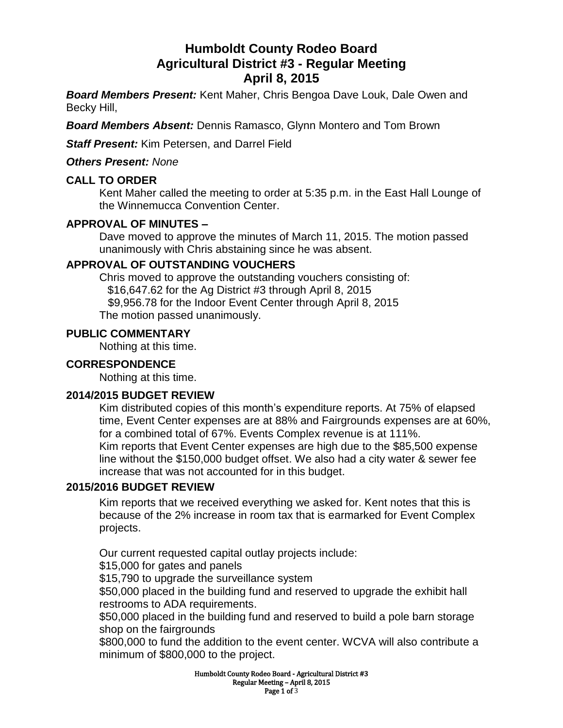# **Humboldt County Rodeo Board Agricultural District #3 - Regular Meeting April 8, 2015**

*Board Members Present:* Kent Maher, Chris Bengoa Dave Louk, Dale Owen and Becky Hill,

*Board Members Absent:* Dennis Ramasco, Glynn Montero and Tom Brown

*Staff Present:* Kim Petersen, and Darrel Field

*Others Present: None*

### **CALL TO ORDER**

Kent Maher called the meeting to order at 5:35 p.m. in the East Hall Lounge of the Winnemucca Convention Center.

### **APPROVAL OF MINUTES –**

Dave moved to approve the minutes of March 11, 2015. The motion passed unanimously with Chris abstaining since he was absent.

#### **APPROVAL OF OUTSTANDING VOUCHERS**

Chris moved to approve the outstanding vouchers consisting of: \$16,647.62 for the Ag District #3 through April 8, 2015 \$9,956.78 for the Indoor Event Center through April 8, 2015 The motion passed unanimously.

#### **PUBLIC COMMENTARY**

Nothing at this time.

### **CORRESPONDENCE**

Nothing at this time.

#### **2014/2015 BUDGET REVIEW**

Kim distributed copies of this month's expenditure reports. At 75% of elapsed time, Event Center expenses are at 88% and Fairgrounds expenses are at 60%, for a combined total of 67%. Events Complex revenue is at 111%. Kim reports that Event Center expenses are high due to the \$85,500 expense line without the \$150,000 budget offset. We also had a city water & sewer fee increase that was not accounted for in this budget.

# **2015/2016 BUDGET REVIEW**

Kim reports that we received everything we asked for. Kent notes that this is because of the 2% increase in room tax that is earmarked for Event Complex projects.

Our current requested capital outlay projects include: \$15,000 for gates and panels

\$15,790 to upgrade the surveillance system

\$50,000 placed in the building fund and reserved to upgrade the exhibit hall restrooms to ADA requirements.

\$50,000 placed in the building fund and reserved to build a pole barn storage shop on the fairgrounds

\$800,000 to fund the addition to the event center. WCVA will also contribute a minimum of \$800,000 to the project.

> Humboldt County Rodeo Board - Agricultural District #3 Regular Meeting – April 8, 2015 Page 1 of 3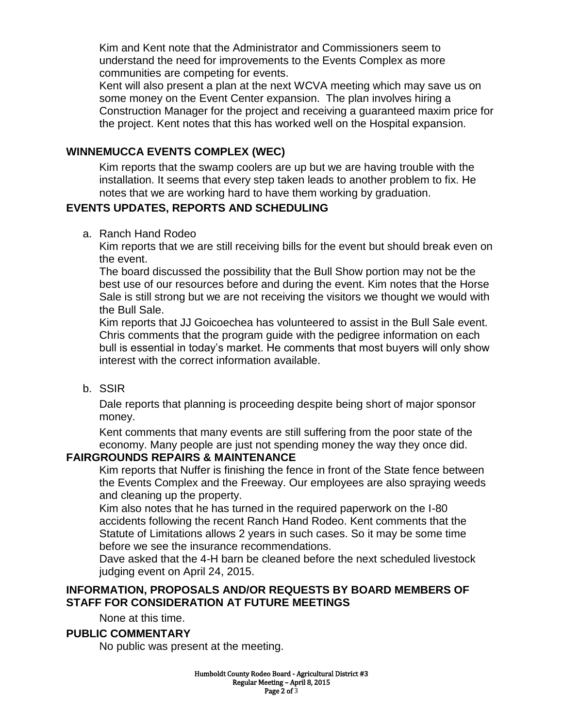Kim and Kent note that the Administrator and Commissioners seem to understand the need for improvements to the Events Complex as more communities are competing for events.

Kent will also present a plan at the next WCVA meeting which may save us on some money on the Event Center expansion. The plan involves hiring a Construction Manager for the project and receiving a guaranteed maxim price for the project. Kent notes that this has worked well on the Hospital expansion.

# **WINNEMUCCA EVENTS COMPLEX (WEC)**

Kim reports that the swamp coolers are up but we are having trouble with the installation. It seems that every step taken leads to another problem to fix. He notes that we are working hard to have them working by graduation.

# **EVENTS UPDATES, REPORTS AND SCHEDULING**

a. Ranch Hand Rodeo

Kim reports that we are still receiving bills for the event but should break even on the event.

The board discussed the possibility that the Bull Show portion may not be the best use of our resources before and during the event. Kim notes that the Horse Sale is still strong but we are not receiving the visitors we thought we would with the Bull Sale.

Kim reports that JJ Goicoechea has volunteered to assist in the Bull Sale event. Chris comments that the program guide with the pedigree information on each bull is essential in today's market. He comments that most buyers will only show interest with the correct information available.

b. SSIR

Dale reports that planning is proceeding despite being short of major sponsor money.

Kent comments that many events are still suffering from the poor state of the economy. Many people are just not spending money the way they once did.

# **FAIRGROUNDS REPAIRS & MAINTENANCE**

Kim reports that Nuffer is finishing the fence in front of the State fence between the Events Complex and the Freeway. Our employees are also spraying weeds and cleaning up the property.

Kim also notes that he has turned in the required paperwork on the I-80 accidents following the recent Ranch Hand Rodeo. Kent comments that the Statute of Limitations allows 2 years in such cases. So it may be some time before we see the insurance recommendations.

Dave asked that the 4-H barn be cleaned before the next scheduled livestock judging event on April 24, 2015.

# **INFORMATION, PROPOSALS AND/OR REQUESTS BY BOARD MEMBERS OF STAFF FOR CONSIDERATION AT FUTURE MEETINGS**

None at this time.

# **PUBLIC COMMENTARY**

No public was present at the meeting.